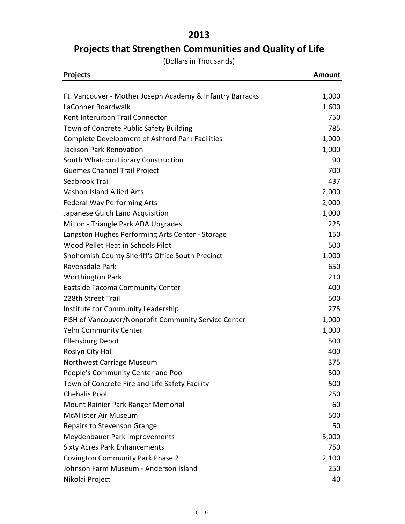## **2013**

## **Projects that Strengthen Communities and Quality of Life**

(Dollars in Thousands)

| <b>Projects</b>                                           | <b>Amount</b> |
|-----------------------------------------------------------|---------------|
| Ft. Vancouver - Mother Joseph Academy & Infantry Barracks | 1,000         |
| LaConner Boardwalk                                        | 1,600         |
| Kent Interurban Trail Connector                           | 750           |
| Town of Concrete Public Safety Building                   | 785           |
| <b>Complete Development of Ashford Park Facilities</b>    | 1,000         |
| Jackson Park Renovation                                   | 1,000         |
| South Whatcom Library Construction                        | 90            |
| <b>Guemes Channel Trail Project</b>                       | 700           |
| Seabrook Trail                                            | 437           |
| Vashon Island Allied Arts                                 | 2,000         |
| <b>Federal Way Performing Arts</b>                        | 2,000         |
| Japanese Gulch Land Acquisition                           | 1,000         |
| Milton - Triangle Park ADA Upgrades                       | 225           |
| Langston Hughes Performing Arts Center - Storage          | 150           |
| Wood Pellet Heat in Schools Pilot                         | 500           |
| Snohomish County Sheriff's Office South Precinct          | 1,000         |
| Ravensdale Park                                           | 650           |
| <b>Worthington Park</b>                                   | 210           |
| <b>Eastside Tacoma Community Center</b>                   | 400           |
| 228th Street Trail                                        | 500           |
| Institute for Community Leadership                        | 275           |
| FISH of Vancouver/Nonprofit Community Service Center      | 1,000         |
| <b>Yelm Community Center</b>                              | 1,000         |
| <b>Ellensburg Depot</b>                                   | 500           |
| Roslyn City Hall                                          | 400           |
| Northwest Carriage Museum                                 | 375           |
| People's Community Center and Pool                        | 500           |
| Town of Concrete Fire and Life Safety Facility            | 500           |
| <b>Chehalis Pool</b>                                      | 250           |
| Mount Rainier Park Ranger Memorial                        | 60            |
| McAllister Air Museum                                     | 500           |
| Repairs to Stevenson Grange                               | 50            |
| Meydenbauer Park Improvements                             | 3,000         |
| <b>Sixty Acres Park Enhancements</b>                      | 750           |
| <b>Covington Community Park Phase 2</b>                   | 2,100         |
| Johnson Farm Museum - Anderson Island                     | 250           |
| Nikolai Project                                           | 40            |